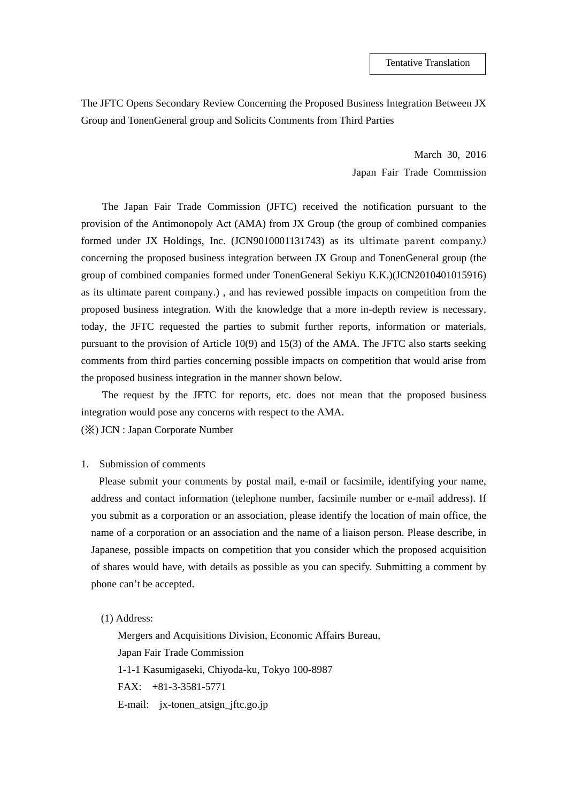The JFTC Opens Secondary Review Concerning the Proposed Business Integration Between JX Group and TonenGeneral group and Solicits Comments from Third Parties

> March 30, 2016 Japan Fair Trade Commission

The Japan Fair Trade Commission (JFTC) received the notification pursuant to the provision of the Antimonopoly Act (AMA) from JX Group (the group of combined companies formed under JX Holdings, Inc. (JCN9010001131743) as its ultimate parent company.) concerning the proposed business integration between JX Group and TonenGeneral group (the group of combined companies formed under TonenGeneral Sekiyu K.K.)(JCN2010401015916) as its ultimate parent company.) , and has reviewed possible impacts on competition from the proposed business integration. With the knowledge that a more in-depth review is necessary, today, the JFTC requested the parties to submit further reports, information or materials, pursuant to the provision of Article 10(9) and 15(3) of the AMA. The JFTC also starts seeking comments from third parties concerning possible impacts on competition that would arise from the proposed business integration in the manner shown below.

The request by the JFTC for reports, etc. does not mean that the proposed business integration would pose any concerns with respect to the AMA.

(※) JCN : Japan Corporate Number

1. Submission of comments

Please submit your comments by postal mail, e-mail or facsimile, identifying your name, address and contact information (telephone number, facsimile number or e-mail address). If you submit as a corporation or an association, please identify the location of main office, the name of a corporation or an association and the name of a liaison person. Please describe, in Japanese, possible impacts on competition that you consider which the proposed acquisition of shares would have, with details as possible as you can specify. Submitting a comment by phone can't be accepted.

(1) Address:

Mergers and Acquisitions Division, Economic Affairs Bureau, Japan Fair Trade Commission 1-1-1 Kasumigaseki, Chiyoda-ku, Tokyo 100-8987 FAX: +81-3-3581-5771 E-mail: jx-tonen\_atsign\_jftc.go.jp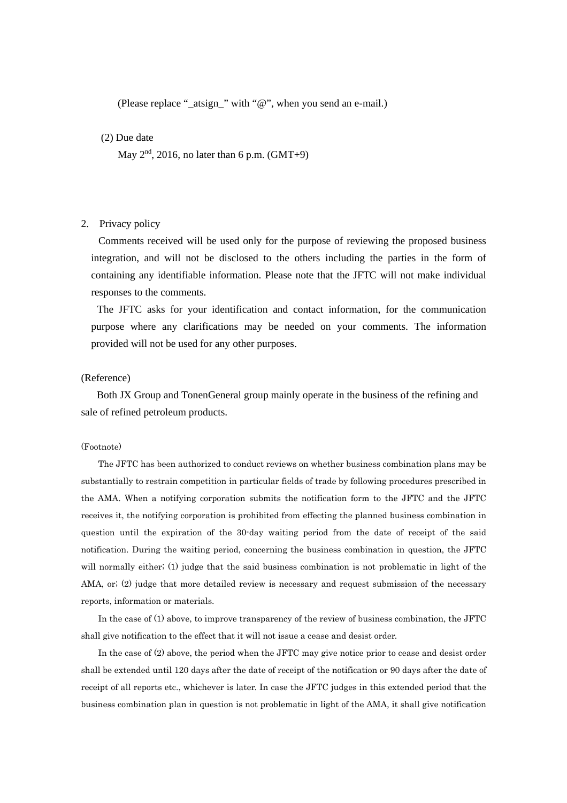(Please replace "\_atsign\_" with "@", when you send an e-mail.)

## (2) Due date

May  $2<sup>nd</sup>$ , 2016, no later than 6 p.m. (GMT+9)

## 2. Privacy policy

Comments received will be used only for the purpose of reviewing the proposed business integration, and will not be disclosed to the others including the parties in the form of containing any identifiable information. Please note that the JFTC will not make individual responses to the comments.

The JFTC asks for your identification and contact information, for the communication purpose where any clarifications may be needed on your comments. The information provided will not be used for any other purposes.

## (Reference)

 Both JX Group and TonenGeneral group mainly operate in the business of the refining and sale of refined petroleum products.

## (Footnote)

The JFTC has been authorized to conduct reviews on whether business combination plans may be substantially to restrain competition in particular fields of trade by following procedures prescribed in the AMA. When a notifying corporation submits the notification form to the JFTC and the JFTC receives it, the notifying corporation is prohibited from effecting the planned business combination in question until the expiration of the 30-day waiting period from the date of receipt of the said notification. During the waiting period, concerning the business combination in question, the JFTC will normally either; (1) judge that the said business combination is not problematic in light of the AMA, or; (2) judge that more detailed review is necessary and request submission of the necessary reports, information or materials.

In the case of (1) above, to improve transparency of the review of business combination, the JFTC shall give notification to the effect that it will not issue a cease and desist order.

In the case of (2) above, the period when the JFTC may give notice prior to cease and desist order shall be extended until 120 days after the date of receipt of the notification or 90 days after the date of receipt of all reports etc., whichever is later. In case the JFTC judges in this extended period that the business combination plan in question is not problematic in light of the AMA, it shall give notification